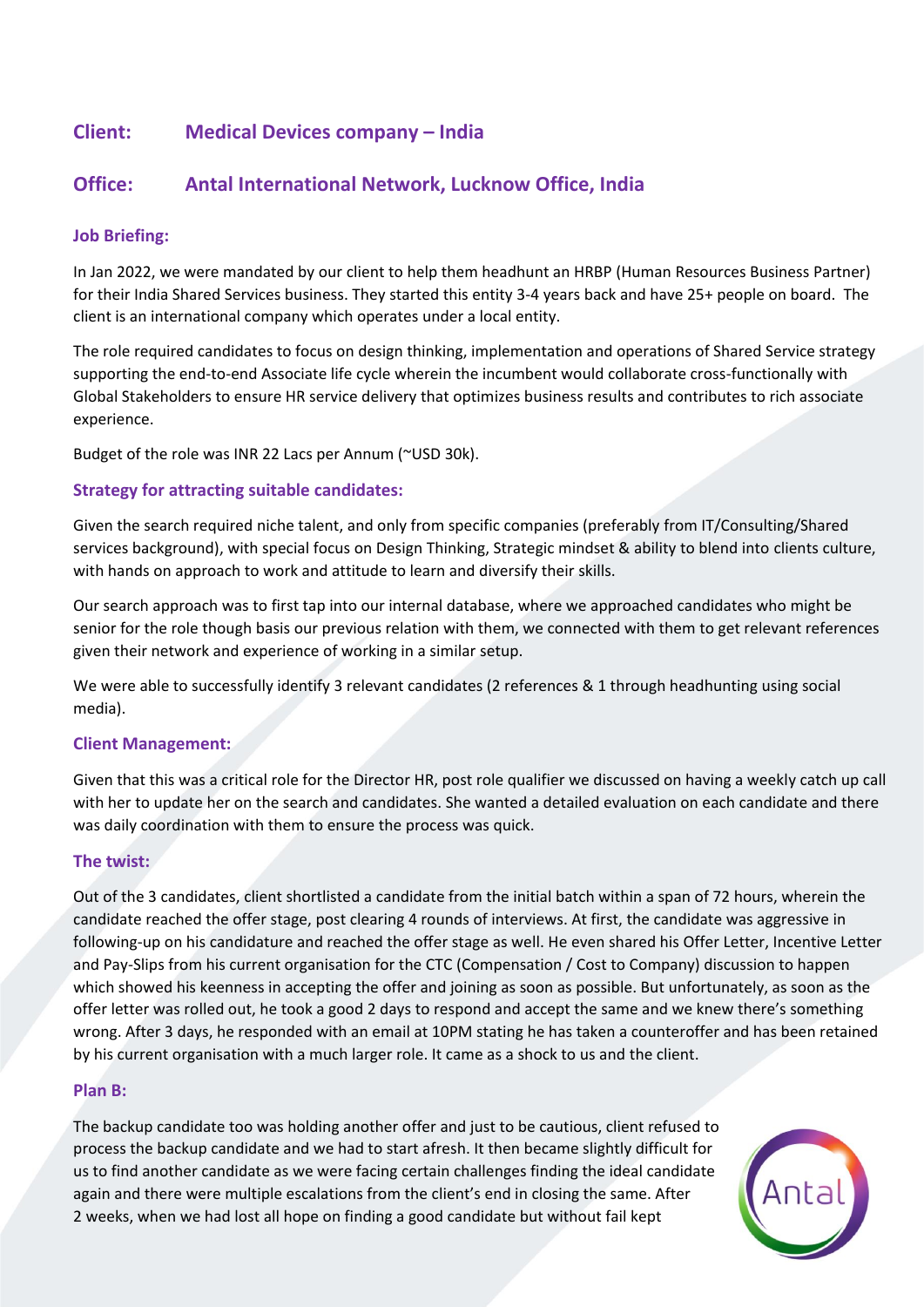# **Client: Medical Devices company – India**

# **Office: Antal International Network, Lucknow Office, India**

### **Job Briefing:**

In Jan 2022, we were mandated by our client to help them headhunt an HRBP (Human Resources Business Partner) for their India Shared Services business. They started this entity 3-4 years back and have 25+ people on board. The client is an international company which operates under a local entity.

The role required candidates to focus on design thinking, implementation and operations of Shared Service strategy supporting the end-to-end Associate life cycle wherein the incumbent would collaborate cross-functionally with Global Stakeholders to ensure HR service delivery that optimizes business results and contributes to rich associate experience.

Budget of the role was INR 22 Lacs per Annum (~USD 30k).

### **Strategy for attracting suitable candidates:**

Given the search required niche talent, and only from specific companies (preferably from IT/Consulting/Shared services background), with special focus on Design Thinking, Strategic mindset & ability to blend into clients culture, with hands on approach to work and attitude to learn and diversify their skills.

Our search approach was to first tap into our internal database, where we approached candidates who might be senior for the role though basis our previous relation with them, we connected with them to get relevant references given their network and experience of working in a similar setup.

We were able to successfully identify 3 relevant candidates (2 references & 1 through headhunting using social media).

#### **Client Management:**

Given that this was a critical role for the Director HR, post role qualifier we discussed on having a weekly catch up call with her to update her on the search and candidates. She wanted a detailed evaluation on each candidate and there was daily coordination with them to ensure the process was quick.

#### **The twist:**

Out of the 3 candidates, client shortlisted a candidate from the initial batch within a span of 72 hours, wherein the candidate reached the offer stage, post clearing 4 rounds of interviews. At first, the candidate was aggressive in following-up on his candidature and reached the offer stage as well. He even shared his Offer Letter, Incentive Letter and Pay-Slips from his current organisation for the CTC (Compensation / Cost to Company) discussion to happen which showed his keenness in accepting the offer and joining as soon as possible. But unfortunately, as soon as the offer letter was rolled out, he took a good 2 days to respond and accept the same and we knew there's something wrong. After 3 days, he responded with an email at 10PM stating he has taken a counteroffer and has been retained by his current organisation with a much larger role. It came as a shock to us and the client.

## **Plan B:**

The backup candidate too was holding another offer and just to be cautious, client refused to process the backup candidate and we had to start afresh. It then became slightly difficult for us to find another candidate as we were facing certain challenges finding the ideal candidate again and there were multiple escalations from the client's end in closing the same. After 2 weeks, when we had lost all hope on finding a good candidate but without fail kept